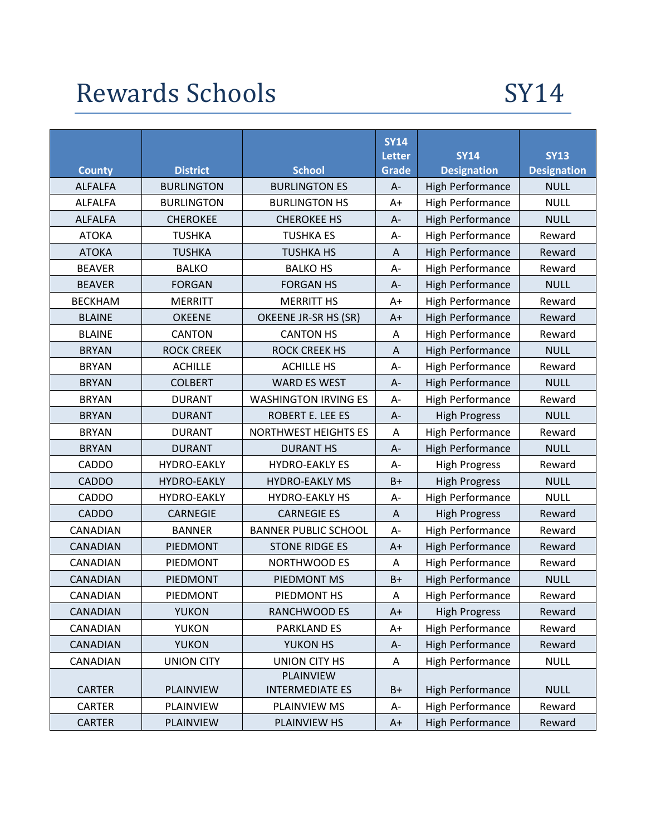## Rewards Schools SY14

|                 |                    |                             | <b>SY14</b><br><b>Letter</b> | <b>SY14</b>             | <b>SY13</b>        |
|-----------------|--------------------|-----------------------------|------------------------------|-------------------------|--------------------|
| <b>County</b>   | <b>District</b>    | <b>School</b>               | Grade                        | <b>Designation</b>      | <b>Designation</b> |
| <b>ALFALFA</b>  | <b>BURLINGTON</b>  | <b>BURLINGTON ES</b>        | A-                           | <b>High Performance</b> | <b>NULL</b>        |
| <b>ALFALFA</b>  | <b>BURLINGTON</b>  | <b>BURLINGTON HS</b>        | $A+$                         | <b>High Performance</b> | <b>NULL</b>        |
| <b>ALFALFA</b>  | <b>CHEROKEE</b>    | <b>CHEROKEE HS</b>          | $A-$                         | <b>High Performance</b> | <b>NULL</b>        |
| <b>ATOKA</b>    | <b>TUSHKA</b>      | <b>TUSHKA ES</b>            | $A-$                         | <b>High Performance</b> | Reward             |
| <b>ATOKA</b>    | <b>TUSHKA</b>      | <b>TUSHKA HS</b>            | $\boldsymbol{\mathsf{A}}$    | <b>High Performance</b> | Reward             |
| <b>BEAVER</b>   | <b>BALKO</b>       | <b>BALKO HS</b>             | $A -$                        | <b>High Performance</b> | Reward             |
| <b>BEAVER</b>   | <b>FORGAN</b>      | <b>FORGAN HS</b>            | $A -$                        | <b>High Performance</b> | <b>NULL</b>        |
| <b>BECKHAM</b>  | <b>MERRITT</b>     | <b>MERRITT HS</b>           | A+                           | High Performance        | Reward             |
| <b>BLAINE</b>   | <b>OKEENE</b>      | OKEENE JR-SR HS (SR)        | $A+$                         | <b>High Performance</b> | Reward             |
| <b>BLAINE</b>   | <b>CANTON</b>      | <b>CANTON HS</b>            | A                            | <b>High Performance</b> | Reward             |
| <b>BRYAN</b>    | <b>ROCK CREEK</b>  | <b>ROCK CREEK HS</b>        | $\boldsymbol{\mathsf{A}}$    | <b>High Performance</b> | <b>NULL</b>        |
| <b>BRYAN</b>    | <b>ACHILLE</b>     | <b>ACHILLE HS</b>           | $A -$                        | <b>High Performance</b> | Reward             |
| <b>BRYAN</b>    | <b>COLBERT</b>     | <b>WARD ES WEST</b>         | $A -$                        | <b>High Performance</b> | <b>NULL</b>        |
| <b>BRYAN</b>    | <b>DURANT</b>      | <b>WASHINGTON IRVING ES</b> | A-                           | High Performance        | Reward             |
| <b>BRYAN</b>    | <b>DURANT</b>      | <b>ROBERT E. LEE ES</b>     | $A-$                         | <b>High Progress</b>    | <b>NULL</b>        |
| <b>BRYAN</b>    | <b>DURANT</b>      | <b>NORTHWEST HEIGHTS ES</b> | A                            | <b>High Performance</b> | Reward             |
| <b>BRYAN</b>    | <b>DURANT</b>      | <b>DURANT HS</b>            | $A -$                        | <b>High Performance</b> | <b>NULL</b>        |
| <b>CADDO</b>    | <b>HYDRO-EAKLY</b> | <b>HYDRO-EAKLY ES</b>       | A-                           | <b>High Progress</b>    | Reward             |
| <b>CADDO</b>    | <b>HYDRO-EAKLY</b> | <b>HYDRO-EAKLY MS</b>       | $B+$                         | <b>High Progress</b>    | <b>NULL</b>        |
| <b>CADDO</b>    | <b>HYDRO-EAKLY</b> | <b>HYDRO-EAKLY HS</b>       | A-                           | High Performance        | <b>NULL</b>        |
| <b>CADDO</b>    | <b>CARNEGIE</b>    | <b>CARNEGIE ES</b>          | $\mathsf A$                  | <b>High Progress</b>    | Reward             |
| CANADIAN        | <b>BANNER</b>      | <b>BANNER PUBLIC SCHOOL</b> | $A-$                         | High Performance        | Reward             |
| <b>CANADIAN</b> | PIEDMONT           | <b>STONE RIDGE ES</b>       | $A+$                         | <b>High Performance</b> | Reward             |
| CANADIAN        | PIEDMONT           | NORTHWOOD ES                | A                            | <b>High Performance</b> | Reward             |
| <b>CANADIAN</b> | PIEDMONT           | PIEDMONT MS                 | $B+$                         | <b>High Performance</b> | <b>NULL</b>        |
| CANADIAN        | PIEDMONT           | PIEDMONT HS                 | Α                            | High Performance        | Reward             |
| CANADIAN        | <b>YUKON</b>       | RANCHWOOD ES                | $A+$                         | <b>High Progress</b>    | Reward             |
| CANADIAN        | <b>YUKON</b>       | <b>PARKLAND ES</b>          | $A+$                         | <b>High Performance</b> | Reward             |
| CANADIAN        | <b>YUKON</b>       | YUKON HS                    | $A-$                         | <b>High Performance</b> | Reward             |
| CANADIAN        | <b>UNION CITY</b>  | UNION CITY HS               | Α                            | <b>High Performance</b> | <b>NULL</b>        |
|                 |                    | <b>PLAINVIEW</b>            |                              |                         |                    |
| <b>CARTER</b>   | PLAINVIEW          | <b>INTERMEDIATE ES</b>      | $B+$                         | <b>High Performance</b> | <b>NULL</b>        |
| <b>CARTER</b>   | PLAINVIEW          | PLAINVIEW MS                | А-                           | <b>High Performance</b> | Reward             |
| <b>CARTER</b>   | PLAINVIEW          | PLAINVIEW HS                | $A+$                         | <b>High Performance</b> | Reward             |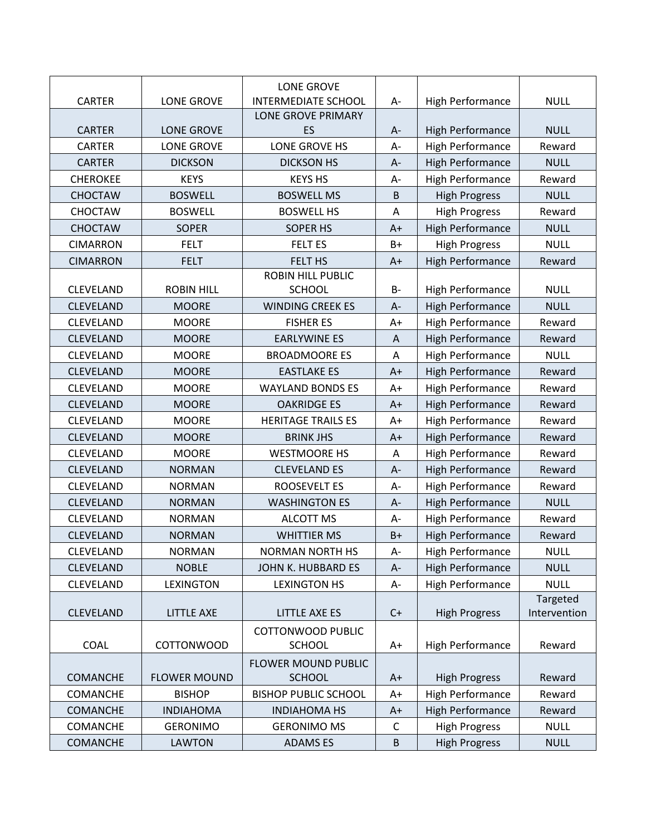| CARTER           | <b>LONE GROVE</b>   | <b>LONE GROVE</b><br><b>INTERMEDIATE SCHOOL</b> | A-             | High Performance        | <b>NULL</b>  |
|------------------|---------------------|-------------------------------------------------|----------------|-------------------------|--------------|
|                  |                     | <b>LONE GROVE PRIMARY</b>                       |                |                         |              |
| <b>CARTER</b>    | <b>LONE GROVE</b>   | ES                                              | A-             | <b>High Performance</b> | <b>NULL</b>  |
| <b>CARTER</b>    | <b>LONE GROVE</b>   | LONE GROVE HS                                   | $A-$           | <b>High Performance</b> | Reward       |
| <b>CARTER</b>    | <b>DICKSON</b>      | <b>DICKSON HS</b>                               | $A -$          | <b>High Performance</b> | <b>NULL</b>  |
| <b>CHEROKEE</b>  | <b>KEYS</b>         | <b>KEYS HS</b>                                  | A-             | <b>High Performance</b> | Reward       |
| <b>CHOCTAW</b>   | <b>BOSWELL</b>      | <b>BOSWELL MS</b>                               | $\overline{B}$ | <b>High Progress</b>    | <b>NULL</b>  |
| <b>CHOCTAW</b>   | <b>BOSWELL</b>      | <b>BOSWELL HS</b>                               | A              | <b>High Progress</b>    | Reward       |
| <b>CHOCTAW</b>   | <b>SOPER</b>        | <b>SOPER HS</b>                                 | $A+$           | <b>High Performance</b> | <b>NULL</b>  |
| <b>CIMARRON</b>  | <b>FELT</b>         | <b>FELT ES</b>                                  | $B+$           | <b>High Progress</b>    | <b>NULL</b>  |
| <b>CIMARRON</b>  | <b>FELT</b>         | FELT HS                                         | $A+$           | <b>High Performance</b> | Reward       |
|                  |                     | <b>ROBIN HILL PUBLIC</b>                        |                |                         |              |
| <b>CLEVELAND</b> | <b>ROBIN HILL</b>   | <b>SCHOOL</b>                                   | $B-$           | <b>High Performance</b> | <b>NULL</b>  |
| <b>CLEVELAND</b> | <b>MOORE</b>        | <b>WINDING CREEK ES</b>                         | $A -$          | <b>High Performance</b> | <b>NULL</b>  |
| <b>CLEVELAND</b> | <b>MOORE</b>        | <b>FISHER ES</b>                                | $A+$           | <b>High Performance</b> | Reward       |
| <b>CLEVELAND</b> | <b>MOORE</b>        | <b>EARLYWINE ES</b>                             | A              | <b>High Performance</b> | Reward       |
| <b>CLEVELAND</b> | <b>MOORE</b>        | <b>BROADMOORE ES</b>                            | A              | High Performance        | <b>NULL</b>  |
| <b>CLEVELAND</b> | <b>MOORE</b>        | <b>EASTLAKE ES</b>                              | $A+$           | <b>High Performance</b> | Reward       |
| <b>CLEVELAND</b> | <b>MOORE</b>        | <b>WAYLAND BONDS ES</b>                         | A+             | <b>High Performance</b> | Reward       |
| <b>CLEVELAND</b> | <b>MOORE</b>        | <b>OAKRIDGE ES</b>                              | $A+$           | <b>High Performance</b> | Reward       |
| <b>CLEVELAND</b> | <b>MOORE</b>        | <b>HERITAGE TRAILS ES</b>                       | $A+$           | <b>High Performance</b> | Reward       |
| <b>CLEVELAND</b> | <b>MOORE</b>        | <b>BRINK JHS</b>                                | $A+$           | <b>High Performance</b> | Reward       |
| <b>CLEVELAND</b> | <b>MOORE</b>        | <b>WESTMOORE HS</b>                             | A              | <b>High Performance</b> | Reward       |
| <b>CLEVELAND</b> | <b>NORMAN</b>       | <b>CLEVELAND ES</b>                             | $A -$          | <b>High Performance</b> | Reward       |
| <b>CLEVELAND</b> | <b>NORMAN</b>       | <b>ROOSEVELT ES</b>                             | А-             | <b>High Performance</b> | Reward       |
| <b>CLEVELAND</b> | <b>NORMAN</b>       | <b>WASHINGTON ES</b>                            | $A -$          | <b>High Performance</b> | <b>NULL</b>  |
| <b>CLEVELAND</b> | <b>NORMAN</b>       | <b>ALCOTT MS</b>                                | $A -$          | High Performance        | Reward       |
| <b>CLEVELAND</b> | <b>NORMAN</b>       | <b>WHITTIER MS</b>                              | $B+$           | <b>High Performance</b> | Reward       |
| <b>CLEVELAND</b> | <b>NORMAN</b>       | <b>NORMAN NORTH HS</b>                          | А-             | <b>High Performance</b> | <b>NULL</b>  |
| <b>CLEVELAND</b> | <b>NOBLE</b>        | JOHN K. HUBBARD ES                              | $A -$          | <b>High Performance</b> | <b>NULL</b>  |
| <b>CLEVELAND</b> | <b>LEXINGTON</b>    | <b>LEXINGTON HS</b>                             | A-             | <b>High Performance</b> | <b>NULL</b>  |
|                  |                     |                                                 |                |                         | Targeted     |
| <b>CLEVELAND</b> | LITTLE AXE          | LITTLE AXE ES                                   | $C+$           | <b>High Progress</b>    | Intervention |
|                  |                     | <b>COTTONWOOD PUBLIC</b>                        |                |                         |              |
| COAL             | <b>COTTONWOOD</b>   | <b>SCHOOL</b>                                   | $A+$           | <b>High Performance</b> | Reward       |
|                  |                     | <b>FLOWER MOUND PUBLIC</b>                      |                |                         |              |
| <b>COMANCHE</b>  | <b>FLOWER MOUND</b> | <b>SCHOOL</b>                                   | $A+$           | <b>High Progress</b>    | Reward       |
| <b>COMANCHE</b>  | <b>BISHOP</b>       | <b>BISHOP PUBLIC SCHOOL</b>                     | $A+$           | <b>High Performance</b> | Reward       |
| <b>COMANCHE</b>  | <b>INDIAHOMA</b>    | <b>INDIAHOMA HS</b>                             | $A+$           | <b>High Performance</b> | Reward       |
| COMANCHE         | <b>GERONIMO</b>     | <b>GERONIMO MS</b>                              | $\mathsf{C}$   | <b>High Progress</b>    | <b>NULL</b>  |
| <b>COMANCHE</b>  | <b>LAWTON</b>       | <b>ADAMSES</b>                                  | $\sf B$        | <b>High Progress</b>    | <b>NULL</b>  |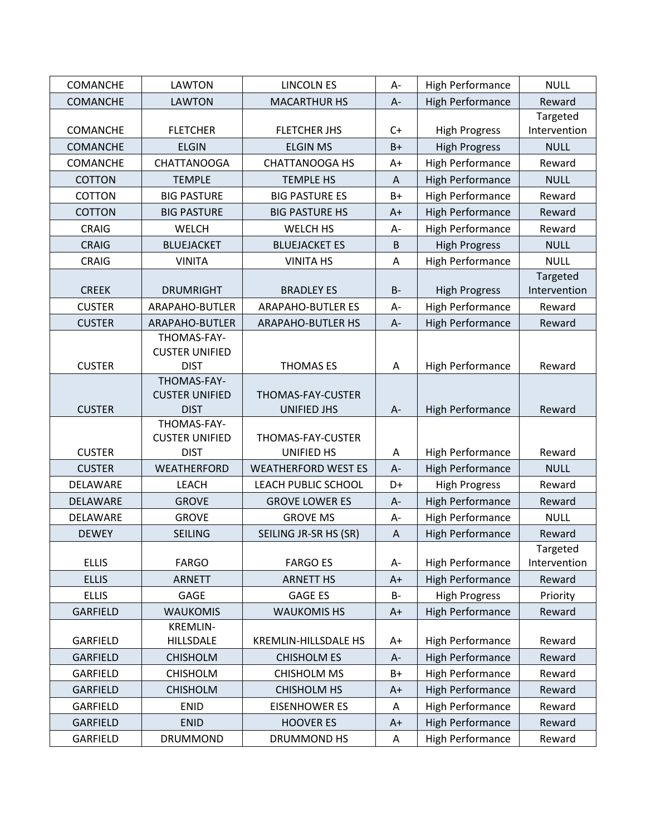| <b>COMANCHE</b> | <b>LAWTON</b>                        | <b>LINCOLN ES</b>           | $A -$          | <b>High Performance</b> | <b>NULL</b>              |
|-----------------|--------------------------------------|-----------------------------|----------------|-------------------------|--------------------------|
| <b>COMANCHE</b> | <b>LAWTON</b>                        | <b>MACARTHUR HS</b>         | $A -$          | <b>High Performance</b> | Reward                   |
| <b>COMANCHE</b> | <b>FLETCHER</b>                      | <b>FLETCHER JHS</b>         | $C+$           | <b>High Progress</b>    | Targeted<br>Intervention |
| <b>COMANCHE</b> | <b>ELGIN</b>                         | <b>ELGIN MS</b>             | $B+$           | <b>High Progress</b>    | <b>NULL</b>              |
| <b>COMANCHE</b> | <b>CHATTANOOGA</b>                   | <b>CHATTANOOGA HS</b>       | A+             | <b>High Performance</b> | Reward                   |
| <b>COTTON</b>   | <b>TEMPLE</b>                        | <b>TEMPLE HS</b>            | A              | <b>High Performance</b> | <b>NULL</b>              |
| <b>COTTON</b>   | <b>BIG PASTURE</b>                   | <b>BIG PASTURE ES</b>       | $B+$           | <b>High Performance</b> | Reward                   |
| <b>COTTON</b>   | <b>BIG PASTURE</b>                   | <b>BIG PASTURE HS</b>       | $A+$           | <b>High Performance</b> | Reward                   |
| <b>CRAIG</b>    | <b>WELCH</b>                         | WELCH HS                    | A-             | <b>High Performance</b> | Reward                   |
| <b>CRAIG</b>    | <b>BLUEJACKET</b>                    | <b>BLUEJACKET ES</b>        | $\overline{B}$ | <b>High Progress</b>    | <b>NULL</b>              |
| <b>CRAIG</b>    | <b>VINITA</b>                        | <b>VINITA HS</b>            | $\mathsf A$    | <b>High Performance</b> | <b>NULL</b>              |
| <b>CREEK</b>    | <b>DRUMRIGHT</b>                     | <b>BRADLEY ES</b>           | $B -$          | <b>High Progress</b>    | Targeted<br>Intervention |
| <b>CUSTER</b>   | ARAPAHO-BUTLER                       | <b>ARAPAHO-BUTLER ES</b>    | $A -$          | <b>High Performance</b> | Reward                   |
| <b>CUSTER</b>   | ARAPAHO-BUTLER                       | <b>ARAPAHO-BUTLER HS</b>    | $A-$           | <b>High Performance</b> | Reward                   |
|                 | THOMAS-FAY-                          |                             |                |                         |                          |
|                 | <b>CUSTER UNIFIED</b>                |                             |                |                         |                          |
| <b>CUSTER</b>   | <b>DIST</b>                          | <b>THOMAS ES</b>            | A              | <b>High Performance</b> | Reward                   |
|                 | THOMAS-FAY-                          |                             |                |                         |                          |
|                 | <b>CUSTER UNIFIED</b>                | THOMAS-FAY-CUSTER           |                |                         |                          |
| <b>CUSTER</b>   | <b>DIST</b>                          | <b>UNIFIED JHS</b>          | $A -$          | <b>High Performance</b> | Reward                   |
|                 | THOMAS-FAY-<br><b>CUSTER UNIFIED</b> | THOMAS-FAY-CUSTER           |                |                         |                          |
| <b>CUSTER</b>   | <b>DIST</b>                          | <b>UNIFIED HS</b>           | A              | <b>High Performance</b> | Reward                   |
| <b>CUSTER</b>   | WEATHERFORD                          | <b>WEATHERFORD WEST ES</b>  | $A -$          | <b>High Performance</b> | <b>NULL</b>              |
| DELAWARE        | LEACH                                | LEACH PUBLIC SCHOOL         | D+             | <b>High Progress</b>    | Reward                   |
| DELAWARE        | <b>GROVE</b>                         | <b>GROVE LOWER ES</b>       | $A -$          | <b>High Performance</b> | Reward                   |
| DELAWARE        | <b>GROVE</b>                         | <b>GROVE MS</b>             | A-             | <b>High Performance</b> | <b>NULL</b>              |
| <b>DEWEY</b>    | <b>SEILING</b>                       | SEILING JR-SR HS (SR)       | $\mathsf A$    | <b>High Performance</b> | Reward                   |
|                 |                                      |                             |                |                         | Targeted                 |
| <b>ELLIS</b>    | <b>FARGO</b>                         | <b>FARGO ES</b>             | A-             | <b>High Performance</b> | Intervention             |
| <b>ELLIS</b>    | <b>ARNETT</b>                        | <b>ARNETT HS</b>            | $A+$           | <b>High Performance</b> | Reward                   |
| <b>ELLIS</b>    | GAGE                                 | <b>GAGE ES</b>              | $B -$          | <b>High Progress</b>    | Priority                 |
| GARFIELD        | <b>WAUKOMIS</b>                      | <b>WAUKOMIS HS</b>          | $A+$           | <b>High Performance</b> | Reward                   |
|                 | <b>KREMLIN-</b>                      |                             |                |                         |                          |
| <b>GARFIELD</b> | <b>HILLSDALE</b>                     | <b>KREMLIN-HILLSDALE HS</b> | A+             | <b>High Performance</b> | Reward                   |
| <b>GARFIELD</b> | <b>CHISHOLM</b>                      | <b>CHISHOLM ES</b>          | A-             | <b>High Performance</b> | Reward                   |
| GARFIELD        | <b>CHISHOLM</b>                      | <b>CHISHOLM MS</b>          | $B+$           | <b>High Performance</b> | Reward                   |
| <b>GARFIELD</b> | <b>CHISHOLM</b>                      | <b>CHISHOLM HS</b>          | $A+$           | <b>High Performance</b> | Reward                   |
| GARFIELD        | <b>ENID</b>                          | <b>EISENHOWER ES</b>        | A              | <b>High Performance</b> | Reward                   |
| <b>GARFIELD</b> | <b>ENID</b>                          | <b>HOOVER ES</b>            | $A+$           | <b>High Performance</b> | Reward                   |
| GARFIELD        | <b>DRUMMOND</b>                      | <b>DRUMMOND HS</b>          | A              | <b>High Performance</b> | Reward                   |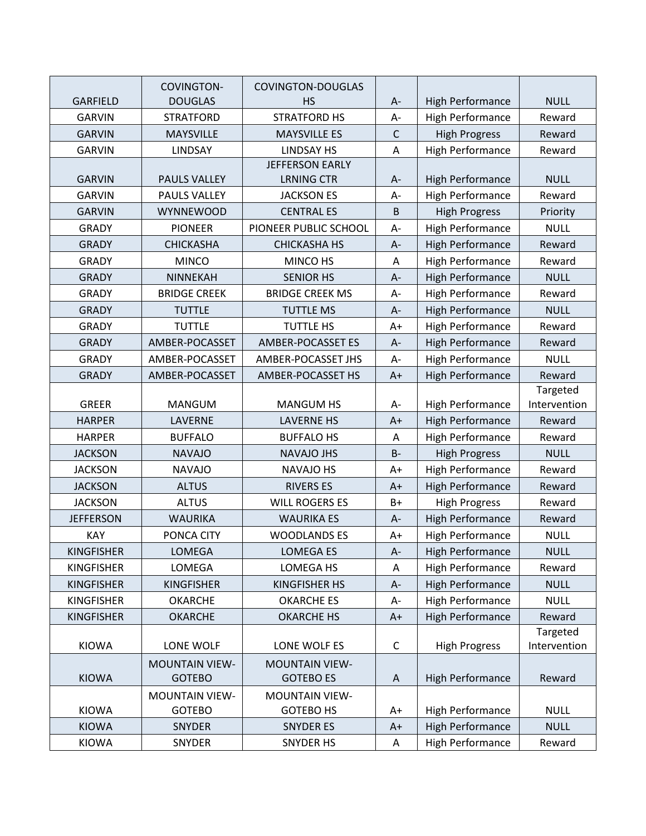|                   | <b>COVINGTON-</b>     | <b>COVINGTON-DOUGLAS</b> |              |                         |              |
|-------------------|-----------------------|--------------------------|--------------|-------------------------|--------------|
| <b>GARFIELD</b>   | <b>DOUGLAS</b>        | <b>HS</b>                | $A-$         | High Performance        | <b>NULL</b>  |
| <b>GARVIN</b>     | <b>STRATFORD</b>      | <b>STRATFORD HS</b>      | $A -$        | <b>High Performance</b> | Reward       |
| <b>GARVIN</b>     | <b>MAYSVILLE</b>      | <b>MAYSVILLE ES</b>      | $\mathsf{C}$ | <b>High Progress</b>    | Reward       |
| <b>GARVIN</b>     | LINDSAY               | <b>LINDSAY HS</b>        | A            | <b>High Performance</b> | Reward       |
|                   |                       | JEFFERSON EARLY          |              |                         |              |
| <b>GARVIN</b>     | <b>PAULS VALLEY</b>   | <b>LRNING CTR</b>        | A-           | <b>High Performance</b> | <b>NULL</b>  |
| <b>GARVIN</b>     | PAULS VALLEY          | <b>JACKSON ES</b>        | $A -$        | <b>High Performance</b> | Reward       |
| <b>GARVIN</b>     | WYNNEWOOD             | <b>CENTRAL ES</b>        | $\sf B$      | <b>High Progress</b>    | Priority     |
| <b>GRADY</b>      | <b>PIONEER</b>        | PIONEER PUBLIC SCHOOL    | $A -$        | <b>High Performance</b> | <b>NULL</b>  |
| <b>GRADY</b>      | <b>CHICKASHA</b>      | <b>CHICKASHA HS</b>      | $A -$        | <b>High Performance</b> | Reward       |
| <b>GRADY</b>      | <b>MINCO</b>          | MINCO HS                 | A            | <b>High Performance</b> | Reward       |
| <b>GRADY</b>      | NINNEKAH              | <b>SENIOR HS</b>         | $A -$        | <b>High Performance</b> | <b>NULL</b>  |
| <b>GRADY</b>      | <b>BRIDGE CREEK</b>   | <b>BRIDGE CREEK MS</b>   | $A -$        | <b>High Performance</b> | Reward       |
| <b>GRADY</b>      | <b>TUTTLE</b>         | <b>TUTTLE MS</b>         | $A -$        | <b>High Performance</b> | <b>NULL</b>  |
| <b>GRADY</b>      | <b>TUTTLE</b>         | <b>TUTTLE HS</b>         | $A+$         | <b>High Performance</b> | Reward       |
| <b>GRADY</b>      | AMBER-POCASSET        | AMBER-POCASSET ES        | $A-$         | <b>High Performance</b> | Reward       |
| <b>GRADY</b>      | AMBER-POCASSET        | AMBER-POCASSET JHS       | $A -$        | <b>High Performance</b> | <b>NULL</b>  |
| <b>GRADY</b>      | AMBER-POCASSET        | AMBER-POCASSET HS        | $A+$         | <b>High Performance</b> | Reward       |
|                   |                       |                          |              |                         | Targeted     |
| <b>GREER</b>      | <b>MANGUM</b>         | <b>MANGUM HS</b>         | A-           | <b>High Performance</b> | Intervention |
| <b>HARPER</b>     | LAVERNE               | <b>LAVERNE HS</b>        | $A+$         | <b>High Performance</b> | Reward       |
| <b>HARPER</b>     | <b>BUFFALO</b>        | <b>BUFFALO HS</b>        | A            | <b>High Performance</b> | Reward       |
| <b>JACKSON</b>    | <b>NAVAJO</b>         | <b>NAVAJO JHS</b>        | $B -$        | <b>High Progress</b>    | <b>NULL</b>  |
| <b>JACKSON</b>    | <b>NAVAJO</b>         | <b>NAVAJO HS</b>         | $A+$         | High Performance        | Reward       |
| <b>JACKSON</b>    | <b>ALTUS</b>          | <b>RIVERS ES</b>         | $A+$         | <b>High Performance</b> | Reward       |
| <b>JACKSON</b>    | <b>ALTUS</b>          | <b>WILL ROGERS ES</b>    | $B+$         | <b>High Progress</b>    | Reward       |
| <b>JEFFERSON</b>  | <b>WAURIKA</b>        | <b>WAURIKA ES</b>        | $A -$        | <b>High Performance</b> | Reward       |
| KAY               | PONCA CITY            | <b>WOODLANDS ES</b>      | $A+$         | <b>High Performance</b> | <b>NULL</b>  |
| <b>KINGFISHER</b> | LOMEGA                | <b>LOMEGA ES</b>         | A-           | <b>High Performance</b> | <b>NULL</b>  |
| <b>KINGFISHER</b> | LOMEGA                | LOMEGA HS                | A            | <b>High Performance</b> | Reward       |
| <b>KINGFISHER</b> | <b>KINGFISHER</b>     | KINGFISHER HS            | A-           | <b>High Performance</b> | <b>NULL</b>  |
| <b>KINGFISHER</b> | <b>OKARCHE</b>        | <b>OKARCHE ES</b>        | A-           | <b>High Performance</b> | <b>NULL</b>  |
| <b>KINGFISHER</b> | <b>OKARCHE</b>        | <b>OKARCHE HS</b>        | $A+$         | <b>High Performance</b> | Reward       |
|                   |                       |                          |              |                         | Targeted     |
| <b>KIOWA</b>      | LONE WOLF             | LONE WOLF ES             | C            | <b>High Progress</b>    | Intervention |
|                   | <b>MOUNTAIN VIEW-</b> | <b>MOUNTAIN VIEW-</b>    |              |                         |              |
| <b>KIOWA</b>      | <b>GOTEBO</b>         | <b>GOTEBO ES</b>         | A            | <b>High Performance</b> | Reward       |
|                   | <b>MOUNTAIN VIEW-</b> | <b>MOUNTAIN VIEW-</b>    |              |                         |              |
| <b>KIOWA</b>      | <b>GOTEBO</b>         | <b>GOTEBO HS</b>         | A+           | High Performance        | <b>NULL</b>  |
| <b>KIOWA</b>      | <b>SNYDER</b>         | <b>SNYDER ES</b>         | $A+$         | <b>High Performance</b> | <b>NULL</b>  |
| <b>KIOWA</b>      | SNYDER                | <b>SNYDER HS</b>         | Α            | <b>High Performance</b> | Reward       |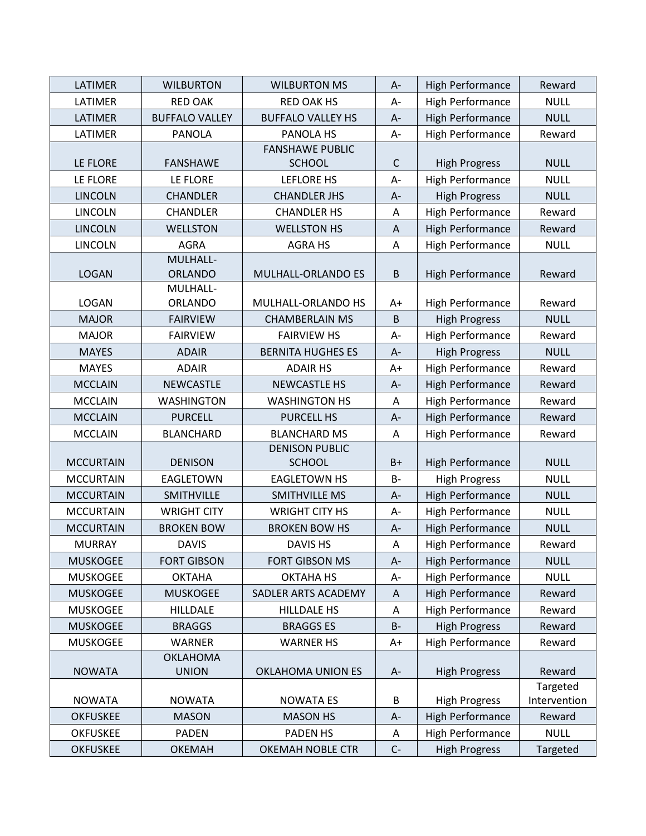| LATIMER          | <b>WILBURTON</b>                | <b>WILBURTON MS</b>                    | $A -$                  | <b>High Performance</b> | Reward       |
|------------------|---------------------------------|----------------------------------------|------------------------|-------------------------|--------------|
| LATIMER          | <b>RED OAK</b>                  | <b>RED OAK HS</b>                      | A-                     | <b>High Performance</b> | <b>NULL</b>  |
| LATIMER          | <b>BUFFALO VALLEY</b>           | <b>BUFFALO VALLEY HS</b>               | $A -$                  | <b>High Performance</b> | <b>NULL</b>  |
| LATIMER          | <b>PANOLA</b>                   | PANOLA HS                              | A-                     | <b>High Performance</b> | Reward       |
|                  |                                 | <b>FANSHAWE PUBLIC</b>                 |                        |                         |              |
| LE FLORE         | <b>FANSHAWE</b>                 | <b>SCHOOL</b>                          | $\mathsf C$            | <b>High Progress</b>    | <b>NULL</b>  |
| LE FLORE         | LE FLORE                        | <b>LEFLORE HS</b>                      | $A -$                  | <b>High Performance</b> | <b>NULL</b>  |
| <b>LINCOLN</b>   | <b>CHANDLER</b>                 | <b>CHANDLER JHS</b>                    | $A-$                   | <b>High Progress</b>    | <b>NULL</b>  |
| <b>LINCOLN</b>   | <b>CHANDLER</b>                 | <b>CHANDLER HS</b>                     | A                      | <b>High Performance</b> | Reward       |
| <b>LINCOLN</b>   | <b>WELLSTON</b>                 | <b>WELLSTON HS</b>                     | $\mathsf A$            | <b>High Performance</b> | Reward       |
| <b>LINCOLN</b>   | <b>AGRA</b>                     | <b>AGRA HS</b>                         | A                      | <b>High Performance</b> | <b>NULL</b>  |
|                  | MULHALL-                        |                                        |                        |                         |              |
| <b>LOGAN</b>     | <b>ORLANDO</b>                  | MULHALL-ORLANDO ES                     | $\sf B$                | <b>High Performance</b> | Reward       |
|                  | MULHALL-                        | MULHALL-ORLANDO HS                     |                        |                         |              |
| <b>LOGAN</b>     | <b>ORLANDO</b>                  |                                        | $A+$<br>$\overline{B}$ | <b>High Performance</b> | Reward       |
| <b>MAJOR</b>     | <b>FAIRVIEW</b>                 | <b>CHAMBERLAIN MS</b>                  |                        | <b>High Progress</b>    | <b>NULL</b>  |
| <b>MAJOR</b>     | <b>FAIRVIEW</b>                 | <b>FAIRVIEW HS</b>                     | A-                     | <b>High Performance</b> | Reward       |
| <b>MAYES</b>     | <b>ADAIR</b>                    | <b>BERNITA HUGHES ES</b>               | $A -$                  | <b>High Progress</b>    | <b>NULL</b>  |
| <b>MAYES</b>     | <b>ADAIR</b>                    | <b>ADAIR HS</b>                        | $A+$                   | <b>High Performance</b> | Reward       |
| <b>MCCLAIN</b>   | <b>NEWCASTLE</b>                | <b>NEWCASTLE HS</b>                    | $A -$                  | <b>High Performance</b> | Reward       |
| <b>MCCLAIN</b>   | <b>WASHINGTON</b>               | <b>WASHINGTON HS</b>                   | A                      | <b>High Performance</b> | Reward       |
| <b>MCCLAIN</b>   | <b>PURCELL</b>                  | <b>PURCELL HS</b>                      | $A -$                  | <b>High Performance</b> | Reward       |
| <b>MCCLAIN</b>   | <b>BLANCHARD</b>                | <b>BLANCHARD MS</b>                    | A                      | <b>High Performance</b> | Reward       |
| <b>MCCURTAIN</b> | <b>DENISON</b>                  | <b>DENISON PUBLIC</b><br><b>SCHOOL</b> | $B+$                   | <b>High Performance</b> | <b>NULL</b>  |
|                  |                                 |                                        | $B -$                  |                         |              |
| <b>MCCURTAIN</b> | <b>EAGLETOWN</b>                | <b>EAGLETOWN HS</b>                    |                        | <b>High Progress</b>    | <b>NULL</b>  |
| <b>MCCURTAIN</b> | SMITHVILLE                      | SMITHVILLE MS                          | A-                     | <b>High Performance</b> | <b>NULL</b>  |
| <b>MCCURTAIN</b> | <b>WRIGHT CITY</b>              | <b>WRIGHT CITY HS</b>                  | A-                     | <b>High Performance</b> | <b>NULL</b>  |
| <b>MCCURTAIN</b> | <b>BROKEN BOW</b>               | <b>BROKEN BOW HS</b>                   | $A-$                   | <b>High Performance</b> | <b>NULL</b>  |
| <b>MURRAY</b>    | <b>DAVIS</b>                    | <b>DAVIS HS</b>                        | $\mathsf A$            | <b>High Performance</b> | Reward       |
| <b>MUSKOGEE</b>  | <b>FORT GIBSON</b>              | <b>FORT GIBSON MS</b>                  | $A-$                   | <b>High Performance</b> | <b>NULL</b>  |
| <b>MUSKOGEE</b>  | <b>OKTAHA</b>                   | <b>OKTAHA HS</b>                       | A-                     | <b>High Performance</b> | <b>NULL</b>  |
| <b>MUSKOGEE</b>  | <b>MUSKOGEE</b>                 | SADLER ARTS ACADEMY                    | $\mathsf A$            | <b>High Performance</b> | Reward       |
| <b>MUSKOGEE</b>  | <b>HILLDALE</b>                 | HILLDALE HS                            | Α                      | <b>High Performance</b> | Reward       |
| <b>MUSKOGEE</b>  | <b>BRAGGS</b>                   | <b>BRAGGS ES</b>                       | $B -$                  | <b>High Progress</b>    | Reward       |
| <b>MUSKOGEE</b>  | <b>WARNER</b>                   | <b>WARNER HS</b>                       | $A+$                   | <b>High Performance</b> | Reward       |
| <b>NOWATA</b>    | <b>OKLAHOMA</b><br><b>UNION</b> | <b>OKLAHOMA UNION ES</b>               | $A-$                   | <b>High Progress</b>    | Reward       |
|                  |                                 |                                        |                        |                         | Targeted     |
| <b>NOWATA</b>    | <b>NOWATA</b>                   | <b>NOWATA ES</b>                       | $\sf B$                | <b>High Progress</b>    | Intervention |
| <b>OKFUSKEE</b>  | <b>MASON</b>                    | <b>MASON HS</b>                        | A-                     | <b>High Performance</b> | Reward       |
| <b>OKFUSKEE</b>  | <b>PADEN</b>                    | PADEN HS                               | Α                      | <b>High Performance</b> | <b>NULL</b>  |
| <b>OKFUSKEE</b>  | <b>OKEMAH</b>                   | OKEMAH NOBLE CTR                       | $C-$                   | <b>High Progress</b>    | Targeted     |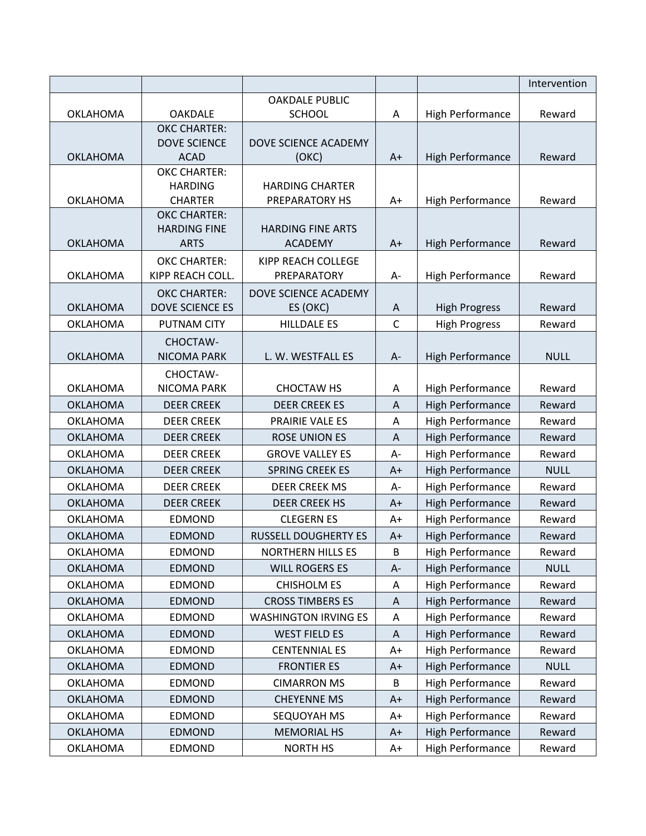|                 |                                  |                             |              |                         | Intervention |
|-----------------|----------------------------------|-----------------------------|--------------|-------------------------|--------------|
|                 |                                  | <b>OAKDALE PUBLIC</b>       |              |                         |              |
| <b>OKLAHOMA</b> | <b>OAKDALE</b>                   | <b>SCHOOL</b>               | A            | <b>High Performance</b> | Reward       |
|                 | <b>OKC CHARTER:</b>              |                             |              |                         |              |
|                 | <b>DOVE SCIENCE</b>              | DOVE SCIENCE ACADEMY        |              |                         |              |
| <b>OKLAHOMA</b> | <b>ACAD</b>                      | (OKC)                       | $A+$         | <b>High Performance</b> | Reward       |
|                 | OKC CHARTER:                     | <b>HARDING CHARTER</b>      |              |                         |              |
| <b>OKLAHOMA</b> | <b>HARDING</b><br><b>CHARTER</b> | PREPARATORY HS              | $A+$         | High Performance        | Reward       |
|                 | <b>OKC CHARTER:</b>              |                             |              |                         |              |
|                 | <b>HARDING FINE</b>              | <b>HARDING FINE ARTS</b>    |              |                         |              |
| <b>OKLAHOMA</b> | <b>ARTS</b>                      | <b>ACADEMY</b>              | $A+$         | <b>High Performance</b> | Reward       |
|                 | OKC CHARTER:                     | <b>KIPP REACH COLLEGE</b>   |              |                         |              |
| <b>OKLAHOMA</b> | KIPP REACH COLL.                 | PREPARATORY                 | A-           | <b>High Performance</b> | Reward       |
|                 | <b>OKC CHARTER:</b>              | DOVE SCIENCE ACADEMY        |              |                         |              |
| <b>OKLAHOMA</b> | <b>DOVE SCIENCE ES</b>           | ES (OKC)                    | A            | <b>High Progress</b>    | Reward       |
| <b>OKLAHOMA</b> | <b>PUTNAM CITY</b>               | <b>HILLDALE ES</b>          | $\mathsf{C}$ | <b>High Progress</b>    | Reward       |
|                 | CHOCTAW-                         |                             |              |                         |              |
| <b>OKLAHOMA</b> | <b>NICOMA PARK</b>               | L. W. WESTFALL ES           | A-           | <b>High Performance</b> | <b>NULL</b>  |
|                 | CHOCTAW-                         |                             |              |                         |              |
| OKLAHOMA        | <b>NICOMA PARK</b>               | <b>CHOCTAW HS</b>           | Α            | <b>High Performance</b> | Reward       |
| <b>OKLAHOMA</b> | <b>DEER CREEK</b>                | <b>DEER CREEK ES</b>        | A            | <b>High Performance</b> | Reward       |
| <b>OKLAHOMA</b> | <b>DEER CREEK</b>                | PRAIRIE VALE ES             | A            | <b>High Performance</b> | Reward       |
| <b>OKLAHOMA</b> | <b>DEER CREEK</b>                | <b>ROSE UNION ES</b>        | A            | <b>High Performance</b> | Reward       |
| <b>OKLAHOMA</b> | <b>DEER CREEK</b>                | <b>GROVE VALLEY ES</b>      | A-           | <b>High Performance</b> | Reward       |
| <b>OKLAHOMA</b> | <b>DEER CREEK</b>                | <b>SPRING CREEK ES</b>      | $A+$         | <b>High Performance</b> | <b>NULL</b>  |
| <b>OKLAHOMA</b> | <b>DEER CREEK</b>                | <b>DEER CREEK MS</b>        | A-           | <b>High Performance</b> | Reward       |
| <b>OKLAHOMA</b> | <b>DEER CREEK</b>                | <b>DEER CREEK HS</b>        | $A+$         | <b>High Performance</b> | Reward       |
| <b>OKLAHOMA</b> | <b>EDMOND</b>                    | <b>CLEGERN ES</b>           | $A+$         | <b>High Performance</b> | Reward       |
| <b>OKLAHOMA</b> | <b>EDMOND</b>                    | <b>RUSSELL DOUGHERTY ES</b> | $A+$         | <b>High Performance</b> | Reward       |
| <b>OKLAHOMA</b> | <b>EDMOND</b>                    | <b>NORTHERN HILLS ES</b>    | В            | High Performance        | Reward       |
| <b>OKLAHOMA</b> | <b>EDMOND</b>                    | <b>WILL ROGERS ES</b>       | $A -$        | <b>High Performance</b> | <b>NULL</b>  |
| <b>OKLAHOMA</b> | <b>EDMOND</b>                    | <b>CHISHOLM ES</b>          | A            | High Performance        | Reward       |
| <b>OKLAHOMA</b> | <b>EDMOND</b>                    | <b>CROSS TIMBERS ES</b>     | A            | <b>High Performance</b> | Reward       |
| <b>OKLAHOMA</b> | <b>EDMOND</b>                    | <b>WASHINGTON IRVING ES</b> | А            | <b>High Performance</b> | Reward       |
| <b>OKLAHOMA</b> | <b>EDMOND</b>                    | <b>WEST FIELD ES</b>        | A            | <b>High Performance</b> | Reward       |
| <b>OKLAHOMA</b> | <b>EDMOND</b>                    | <b>CENTENNIAL ES</b>        | $A+$         | <b>High Performance</b> | Reward       |
| <b>OKLAHOMA</b> | <b>EDMOND</b>                    | <b>FRONTIER ES</b>          | $A+$         | High Performance        | <b>NULL</b>  |
| <b>OKLAHOMA</b> | <b>EDMOND</b>                    | <b>CIMARRON MS</b>          | B            | High Performance        | Reward       |
| <b>OKLAHOMA</b> | <b>EDMOND</b>                    | <b>CHEYENNE MS</b>          | $A+$         | <b>High Performance</b> | Reward       |
| <b>OKLAHOMA</b> | EDMOND                           | SEQUOYAH MS                 | A+           | High Performance        | Reward       |
| <b>OKLAHOMA</b> | <b>EDMOND</b>                    | <b>MEMORIAL HS</b>          | $A+$         | <b>High Performance</b> | Reward       |
| <b>OKLAHOMA</b> | <b>EDMOND</b>                    | <b>NORTH HS</b>             | A+           | High Performance        | Reward       |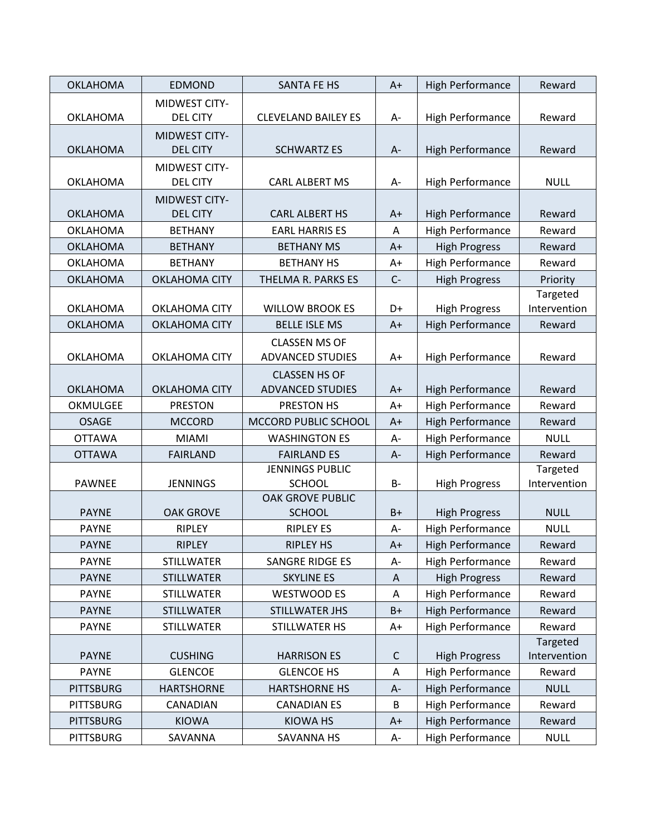| <b>OKLAHOMA</b>  | <b>EDMOND</b>                           | <b>SANTA FE HS</b>                              | $A+$        | <b>High Performance</b> | Reward                   |
|------------------|-----------------------------------------|-------------------------------------------------|-------------|-------------------------|--------------------------|
| <b>OKLAHOMA</b>  | <b>MIDWEST CITY-</b><br><b>DEL CITY</b> | <b>CLEVELAND BAILEY ES</b>                      | $A-$        | <b>High Performance</b> | Reward                   |
| <b>OKLAHOMA</b>  | <b>MIDWEST CITY-</b><br><b>DEL CITY</b> | <b>SCHWARTZ ES</b>                              | $A -$       | <b>High Performance</b> | Reward                   |
| <b>OKLAHOMA</b>  | <b>MIDWEST CITY-</b><br><b>DEL CITY</b> | CARL ALBERT MS                                  | A-          | <b>High Performance</b> | <b>NULL</b>              |
| <b>OKLAHOMA</b>  | <b>MIDWEST CITY-</b><br><b>DEL CITY</b> | <b>CARL ALBERT HS</b>                           | $A+$        | <b>High Performance</b> | Reward                   |
| <b>OKLAHOMA</b>  | <b>BETHANY</b>                          | <b>EARL HARRIS ES</b>                           | A           | <b>High Performance</b> | Reward                   |
| <b>OKLAHOMA</b>  | <b>BETHANY</b>                          | <b>BETHANY MS</b>                               | $A+$        | <b>High Progress</b>    | Reward                   |
| <b>OKLAHOMA</b>  | <b>BETHANY</b>                          | <b>BETHANY HS</b>                               | $A+$        | High Performance        | Reward                   |
| <b>OKLAHOMA</b>  | <b>OKLAHOMA CITY</b>                    | THELMA R. PARKS ES                              | $C -$       | <b>High Progress</b>    | Priority                 |
|                  |                                         |                                                 |             |                         | Targeted                 |
| <b>OKLAHOMA</b>  | <b>OKLAHOMA CITY</b>                    | <b>WILLOW BROOK ES</b>                          | D+          | <b>High Progress</b>    | Intervention             |
| <b>OKLAHOMA</b>  | <b>OKLAHOMA CITY</b>                    | <b>BELLE ISLE MS</b>                            | $A+$        | <b>High Performance</b> | Reward                   |
| <b>OKLAHOMA</b>  | <b>OKLAHOMA CITY</b>                    | <b>CLASSEN MS OF</b><br><b>ADVANCED STUDIES</b> | $A+$        | <b>High Performance</b> | Reward                   |
| <b>OKLAHOMA</b>  | <b>OKLAHOMA CITY</b>                    | <b>CLASSEN HS OF</b><br><b>ADVANCED STUDIES</b> | $A+$        | <b>High Performance</b> | Reward                   |
| OKMULGEE         | <b>PRESTON</b>                          | <b>PRESTON HS</b>                               | $A+$        | <b>High Performance</b> | Reward                   |
| <b>OSAGE</b>     | <b>MCCORD</b>                           | MCCORD PUBLIC SCHOOL                            | $A+$        | <b>High Performance</b> | Reward                   |
| <b>OTTAWA</b>    | <b>MIAMI</b>                            | <b>WASHINGTON ES</b>                            | A-          | High Performance        | <b>NULL</b>              |
| <b>OTTAWA</b>    | <b>FAIRLAND</b>                         | <b>FAIRLAND ES</b>                              | $A -$       | <b>High Performance</b> | Reward                   |
| <b>PAWNEE</b>    | <b>JENNINGS</b>                         | <b>JENNINGS PUBLIC</b><br><b>SCHOOL</b>         | $B -$       | <b>High Progress</b>    | Targeted<br>Intervention |
| <b>PAYNE</b>     | <b>OAK GROVE</b>                        | <b>OAK GROVE PUBLIC</b><br><b>SCHOOL</b>        | $B+$        | <b>High Progress</b>    | <b>NULL</b>              |
| <b>PAYNE</b>     | <b>RIPLEY</b>                           | <b>RIPLEY ES</b>                                | A-          | High Performance        | <b>NULL</b>              |
| <b>PAYNE</b>     | RIPLEY                                  | <b>RIPLEY HS</b>                                | $A+$        | High Performance        | Reward                   |
| <b>PAYNE</b>     | <b>STILLWATER</b>                       | <b>SANGRE RIDGE ES</b>                          | A-          | High Performance        | Reward                   |
| <b>PAYNE</b>     | <b>STILLWATER</b>                       | <b>SKYLINE ES</b>                               | $\mathsf A$ | <b>High Progress</b>    | Reward                   |
| <b>PAYNE</b>     | <b>STILLWATER</b>                       | WESTWOOD ES                                     | Α           | <b>High Performance</b> | Reward                   |
| <b>PAYNE</b>     | <b>STILLWATER</b>                       | STILLWATER JHS                                  | $B+$        | <b>High Performance</b> | Reward                   |
| <b>PAYNE</b>     | <b>STILLWATER</b>                       | STILLWATER HS                                   | A+          | High Performance        | Reward                   |
| <b>PAYNE</b>     | <b>CUSHING</b>                          | <b>HARRISON ES</b>                              | C           | <b>High Progress</b>    | Targeted<br>Intervention |
| <b>PAYNE</b>     | <b>GLENCOE</b>                          | <b>GLENCOE HS</b>                               | A           | <b>High Performance</b> | Reward                   |
| <b>PITTSBURG</b> | <b>HARTSHORNE</b>                       | <b>HARTSHORNE HS</b>                            | $A -$       | <b>High Performance</b> | <b>NULL</b>              |
| <b>PITTSBURG</b> | <b>CANADIAN</b>                         | <b>CANADIAN ES</b>                              | B           | <b>High Performance</b> | Reward                   |
| <b>PITTSBURG</b> | <b>KIOWA</b>                            | <b>KIOWA HS</b>                                 | $A+$        | <b>High Performance</b> | Reward                   |
| <b>PITTSBURG</b> | SAVANNA                                 | SAVANNA HS                                      | A-          | <b>High Performance</b> | <b>NULL</b>              |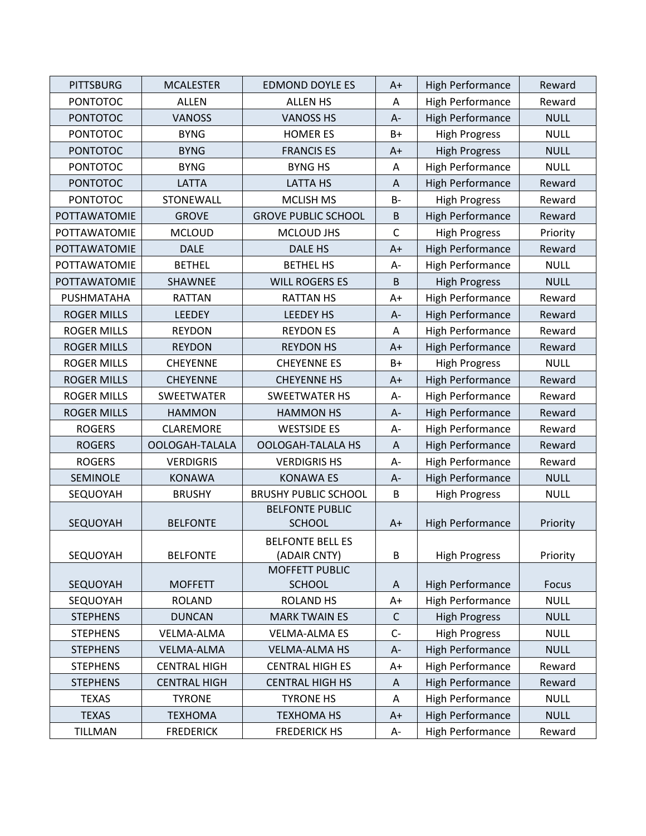| <b>PITTSBURG</b>   | <b>MCALESTER</b>    | <b>EDMOND DOYLE ES</b>          | $A+$         | <b>High Performance</b> | Reward      |
|--------------------|---------------------|---------------------------------|--------------|-------------------------|-------------|
| <b>PONTOTOC</b>    | <b>ALLEN</b>        | <b>ALLEN HS</b>                 | A            | <b>High Performance</b> | Reward      |
| <b>PONTOTOC</b>    | <b>VANOSS</b>       | <b>VANOSS HS</b>                | $A -$        | <b>High Performance</b> | <b>NULL</b> |
| <b>PONTOTOC</b>    | <b>BYNG</b>         | <b>HOMER ES</b>                 | $B+$         | <b>High Progress</b>    | <b>NULL</b> |
| <b>PONTOTOC</b>    | <b>BYNG</b>         | <b>FRANCIS ES</b>               | $A+$         | <b>High Progress</b>    | <b>NULL</b> |
| <b>PONTOTOC</b>    | <b>BYNG</b>         | <b>BYNG HS</b>                  | A            | <b>High Performance</b> | <b>NULL</b> |
| <b>PONTOTOC</b>    | <b>LATTA</b>        | <b>LATTA HS</b>                 | A            | <b>High Performance</b> | Reward      |
| <b>PONTOTOC</b>    | <b>STONEWALL</b>    | <b>MCLISH MS</b>                | $B -$        | <b>High Progress</b>    | Reward      |
| POTTAWATOMIE       | <b>GROVE</b>        | <b>GROVE PUBLIC SCHOOL</b>      | $\sf B$      | <b>High Performance</b> | Reward      |
| POTTAWATOMIE       | <b>MCLOUD</b>       | MCLOUD JHS                      | $\mathsf{C}$ | <b>High Progress</b>    | Priority    |
| POTTAWATOMIE       | <b>DALE</b>         | DALE HS                         | $A+$         | <b>High Performance</b> | Reward      |
| POTTAWATOMIE       | <b>BETHEL</b>       | <b>BETHEL HS</b>                | $A -$        | High Performance        | <b>NULL</b> |
| POTTAWATOMIE       | SHAWNEE             | <b>WILL ROGERS ES</b>           | $\sf B$      | <b>High Progress</b>    | <b>NULL</b> |
| PUSHMATAHA         | <b>RATTAN</b>       | <b>RATTAN HS</b>                | $A+$         | High Performance        | Reward      |
| <b>ROGER MILLS</b> | <b>LEEDEY</b>       | <b>LEEDEY HS</b>                | $A -$        | <b>High Performance</b> | Reward      |
| <b>ROGER MILLS</b> | <b>REYDON</b>       | <b>REYDON ES</b>                | A            | <b>High Performance</b> | Reward      |
| <b>ROGER MILLS</b> | <b>REYDON</b>       | <b>REYDON HS</b>                | $A+$         | <b>High Performance</b> | Reward      |
| <b>ROGER MILLS</b> | <b>CHEYENNE</b>     | <b>CHEYENNE ES</b>              | $B+$         | <b>High Progress</b>    | <b>NULL</b> |
| <b>ROGER MILLS</b> | <b>CHEYENNE</b>     | <b>CHEYENNE HS</b>              | $A+$         | <b>High Performance</b> | Reward      |
| <b>ROGER MILLS</b> | SWEETWATER          | <b>SWEETWATER HS</b>            | A-           | <b>High Performance</b> | Reward      |
| <b>ROGER MILLS</b> | <b>HAMMON</b>       | <b>HAMMON HS</b>                | $A -$        | <b>High Performance</b> | Reward      |
| <b>ROGERS</b>      | CLAREMORE           | <b>WESTSIDE ES</b>              | A-           | <b>High Performance</b> | Reward      |
| <b>ROGERS</b>      | OOLOGAH-TALALA      | OOLOGAH-TALALA HS               | $\mathsf A$  | <b>High Performance</b> | Reward      |
| <b>ROGERS</b>      | <b>VERDIGRIS</b>    | <b>VERDIGRIS HS</b>             | A-           | High Performance        | Reward      |
| SEMINOLE           | <b>KONAWA</b>       | <b>KONAWA ES</b>                | $A -$        | <b>High Performance</b> | <b>NULL</b> |
| SEQUOYAH           | <b>BRUSHY</b>       | <b>BRUSHY PUBLIC SCHOOL</b>     | B            | <b>High Progress</b>    | <b>NULL</b> |
|                    |                     | <b>BELFONTE PUBLIC</b>          |              |                         |             |
| SEQUOYAH           | <b>BELFONTE</b>     | <b>SCHOOL</b>                   | $A+$         | <b>High Performance</b> | Priority    |
|                    |                     | <b>BELFONTE BELL ES</b>         |              |                         |             |
| SEQUOYAH           | <b>BELFONTE</b>     | (ADAIR CNTY)                    | B            | <b>High Progress</b>    | Priority    |
| SEQUOYAH           | <b>MOFFETT</b>      | MOFFETT PUBLIC<br><b>SCHOOL</b> | Α            | <b>High Performance</b> | Focus       |
| SEQUOYAH           | <b>ROLAND</b>       | <b>ROLAND HS</b>                | $A+$         | High Performance        | <b>NULL</b> |
| <b>STEPHENS</b>    | <b>DUNCAN</b>       | <b>MARK TWAIN ES</b>            | C            | <b>High Progress</b>    | <b>NULL</b> |
| <b>STEPHENS</b>    | VELMA-ALMA          | <b>VELMA-ALMA ES</b>            | $C -$        | <b>High Progress</b>    | <b>NULL</b> |
| <b>STEPHENS</b>    | <b>VELMA-ALMA</b>   | <b>VELMA-ALMA HS</b>            | $A-$         | <b>High Performance</b> | <b>NULL</b> |
| <b>STEPHENS</b>    | <b>CENTRAL HIGH</b> | <b>CENTRAL HIGH ES</b>          | A+           | High Performance        | Reward      |
| <b>STEPHENS</b>    | <b>CENTRAL HIGH</b> | <b>CENTRAL HIGH HS</b>          | Α            | <b>High Performance</b> | Reward      |
| <b>TEXAS</b>       | <b>TYRONE</b>       | <b>TYRONE HS</b>                | Α            | High Performance        | <b>NULL</b> |
| <b>TEXAS</b>       | <b>TEXHOMA</b>      | <b>TEXHOMA HS</b>               | $A+$         | <b>High Performance</b> | <b>NULL</b> |
| TILLMAN            | <b>FREDERICK</b>    | <b>FREDERICK HS</b>             | А-           | <b>High Performance</b> | Reward      |
|                    |                     |                                 |              |                         |             |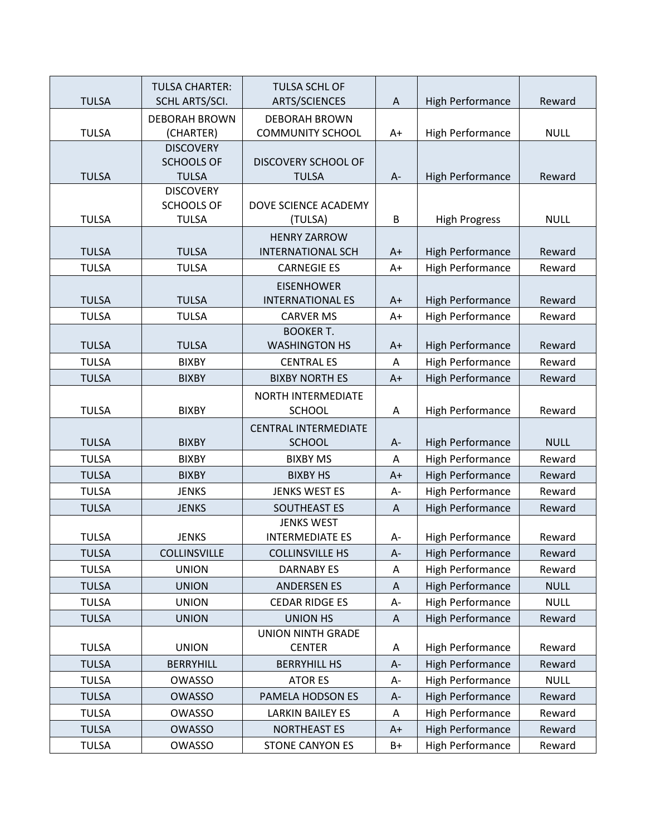| <b>TULSA</b>                 | <b>TULSA CHARTER:</b><br>SCHL ARTS/SCI.               | <b>TULSA SCHL OF</b><br><b>ARTS/SCIENCES</b>                     | $\boldsymbol{\mathsf{A}}$ | <b>High Performance</b>                            | Reward           |
|------------------------------|-------------------------------------------------------|------------------------------------------------------------------|---------------------------|----------------------------------------------------|------------------|
| <b>TULSA</b>                 | <b>DEBORAH BROWN</b><br>(CHARTER)                     | <b>DEBORAH BROWN</b><br><b>COMMUNITY SCHOOL</b>                  | $A+$                      | <b>High Performance</b>                            | <b>NULL</b>      |
| <b>TULSA</b>                 | <b>DISCOVERY</b><br><b>SCHOOLS OF</b><br><b>TULSA</b> | <b>DISCOVERY SCHOOL OF</b><br><b>TULSA</b>                       | $A -$                     | <b>High Performance</b>                            | Reward           |
| <b>TULSA</b>                 | <b>DISCOVERY</b><br><b>SCHOOLS OF</b><br><b>TULSA</b> | DOVE SCIENCE ACADEMY<br>(TULSA)                                  | B                         | <b>High Progress</b>                               | <b>NULL</b>      |
| <b>TULSA</b>                 | <b>TULSA</b>                                          | <b>HENRY ZARROW</b><br><b>INTERNATIONAL SCH</b>                  | $A+$                      | <b>High Performance</b>                            | Reward           |
| <b>TULSA</b>                 | <b>TULSA</b>                                          | <b>CARNEGIE ES</b>                                               | $A+$                      | <b>High Performance</b>                            | Reward           |
| <b>TULSA</b><br><b>TULSA</b> | <b>TULSA</b><br><b>TULSA</b>                          | <b>EISENHOWER</b><br><b>INTERNATIONAL ES</b><br><b>CARVER MS</b> | $A+$<br>$A+$              | <b>High Performance</b><br><b>High Performance</b> | Reward<br>Reward |
|                              |                                                       | <b>BOOKER T.</b>                                                 |                           |                                                    |                  |
| <b>TULSA</b>                 | <b>TULSA</b>                                          | <b>WASHINGTON HS</b>                                             | $A+$                      | <b>High Performance</b>                            | Reward           |
| <b>TULSA</b>                 | <b>BIXBY</b>                                          | <b>CENTRAL ES</b>                                                | A                         | <b>High Performance</b>                            | Reward           |
| <b>TULSA</b>                 | <b>BIXBY</b>                                          | <b>BIXBY NORTH ES</b>                                            | $A+$                      | <b>High Performance</b>                            | Reward           |
| <b>TULSA</b>                 | <b>BIXBY</b>                                          | NORTH INTERMEDIATE<br><b>SCHOOL</b>                              | A                         | <b>High Performance</b>                            | Reward           |
| <b>TULSA</b>                 | <b>BIXBY</b>                                          | <b>CENTRAL INTERMEDIATE</b><br><b>SCHOOL</b>                     | $A -$                     | <b>High Performance</b>                            | <b>NULL</b>      |
| <b>TULSA</b>                 | <b>BIXBY</b>                                          | <b>BIXBY MS</b>                                                  | A                         | <b>High Performance</b>                            | Reward           |
| <b>TULSA</b>                 | <b>BIXBY</b>                                          | <b>BIXBY HS</b>                                                  | $A+$                      | <b>High Performance</b>                            | Reward           |
| <b>TULSA</b>                 | <b>JENKS</b>                                          | <b>JENKS WEST ES</b>                                             | $A -$                     | <b>High Performance</b>                            | Reward           |
| <b>TULSA</b>                 | <b>JENKS</b>                                          | SOUTHEAST ES                                                     | A                         | <b>High Performance</b>                            | Reward           |
| <b>TULSA</b>                 | <b>JENKS</b>                                          | <b>JENKS WEST</b><br><b>INTERMEDIATE ES</b>                      | $A-$                      | <b>High Performance</b>                            | Reward           |
| <b>TULSA</b>                 | <b>COLLINSVILLE</b>                                   | <b>COLLINSVILLE HS</b>                                           | $A-$                      | <b>High Performance</b>                            | Reward           |
| <b>TULSA</b>                 | <b>UNION</b>                                          | <b>DARNABY ES</b>                                                | A                         | <b>High Performance</b>                            | Reward           |
| <b>TULSA</b>                 | <b>UNION</b>                                          | <b>ANDERSEN ES</b>                                               | $\mathsf A$               | <b>High Performance</b>                            | <b>NULL</b>      |
| <b>TULSA</b>                 | <b>UNION</b>                                          | <b>CEDAR RIDGE ES</b>                                            | $A-$                      | <b>High Performance</b>                            | <b>NULL</b>      |
| <b>TULSA</b>                 | <b>UNION</b>                                          | <b>UNION HS</b>                                                  | $\mathsf A$               | <b>High Performance</b>                            | Reward           |
|                              |                                                       | <b>UNION NINTH GRADE</b>                                         |                           |                                                    |                  |
| <b>TULSA</b>                 | <b>UNION</b>                                          | <b>CENTER</b>                                                    | Α                         | <b>High Performance</b>                            | Reward           |
| <b>TULSA</b>                 | <b>BERRYHILL</b>                                      | <b>BERRYHILL HS</b>                                              | $A-$                      | <b>High Performance</b>                            | Reward           |
| <b>TULSA</b>                 | OWASSO                                                | <b>ATOR ES</b>                                                   | А-                        | <b>High Performance</b>                            | <b>NULL</b>      |
| <b>TULSA</b>                 | <b>OWASSO</b>                                         | PAMELA HODSON ES                                                 | A-                        | <b>High Performance</b>                            | Reward           |
| <b>TULSA</b>                 | OWASSO                                                | <b>LARKIN BAILEY ES</b>                                          | Α                         | <b>High Performance</b>                            | Reward           |
| <b>TULSA</b>                 | OWASSO                                                | <b>NORTHEAST ES</b>                                              | $A+$                      | <b>High Performance</b>                            | Reward           |
| <b>TULSA</b>                 | OWASSO                                                | <b>STONE CANYON ES</b>                                           | $B+$                      | <b>High Performance</b>                            | Reward           |